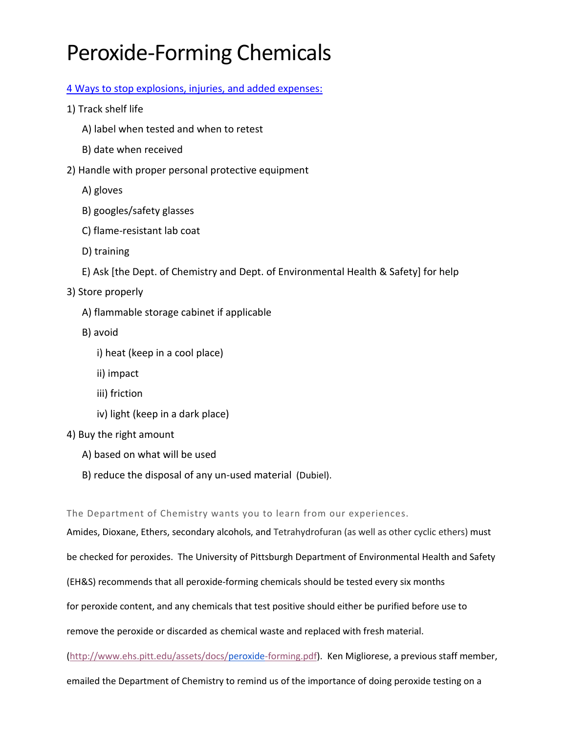# Peroxide-Forming Chemicals

### [4 Ways to stop explosions, injuries, and added expenses:](http://www.triumvirate.com/blog/4-ways-you-could-be-mismanaging-your-peroxide-formers)

- 1) Track shelf life
	- A) label when tested and when to retest
	- B) date when received
- 2) Handle with proper personal protective equipment
	- A) gloves
	- B) googles/safety glasses
	- C) flame-resistant lab coat
	- D) training
	- E) Ask [the Dept. of Chemistry and Dept. of Environmental Health & Safety] for help

## 3) Store properly

- A) flammable storage cabinet if applicable
- B) avoid
	- i) heat (keep in a cool place)
	- ii) impact
	- iii) friction
	- iv) light (keep in a dark place)

#### 4) Buy the right amount

- A) based on what will be used
- B) reduce the disposal of any un-used material (Dubiel).

The Department of Chemistry wants you to learn from our experiences.

Amides, Dioxane, Ethers, secondary alcohols, and Tetrahydrofuran (as well as other cyclic ethers) must be checked for peroxides. The University of Pittsburgh Department of Environmental Health and Safety (EH&S) recommends that all peroxide-forming chemicals should be tested every six months for peroxide content, and any chemicals that test positive should either be purified before use to remove the peroxide or discarded as chemical waste and replaced with fresh material.

[\(http://www.ehs.pitt.edu/assets/docs/peroxide-forming.pdf\)](http://www.ehs.pitt.edu/assets/docs/peroxide-forming.pdf). Ken Migliorese, a previous staff member,

emailed the Department of Chemistry to remind us of the importance of doing peroxide testing on a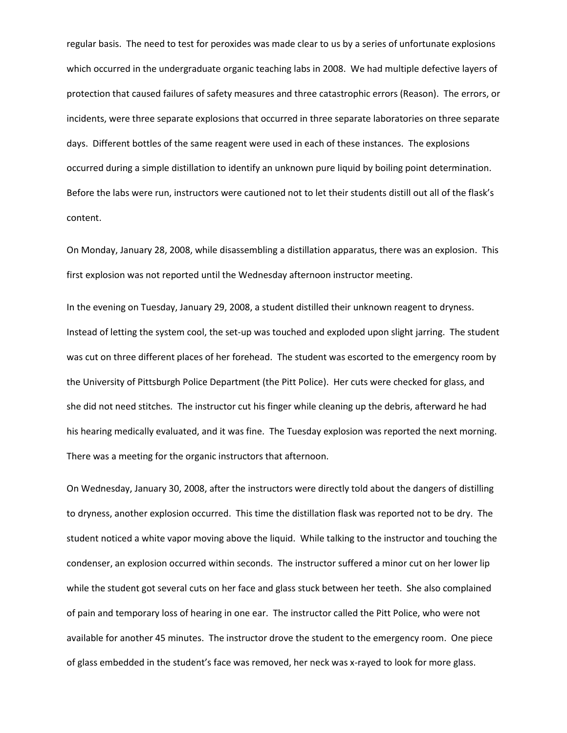regular basis. The need to test for peroxides was made clear to us by a series of unfortunate explosions which occurred in the undergraduate organic teaching labs in 2008. We had multiple defective layers of protection that caused failures of safety measures and three catastrophic errors (Reason). The errors, or incidents, were three separate explosions that occurred in three separate laboratories on three separate days. Different bottles of the same reagent were used in each of these instances. The explosions occurred during a simple distillation to identify an unknown pure liquid by boiling point determination. Before the labs were run, instructors were cautioned not to let their students distill out all of the flask's content.

On Monday, January 28, 2008, while disassembling a distillation apparatus, there was an explosion. This first explosion was not reported until the Wednesday afternoon instructor meeting.

In the evening on Tuesday, January 29, 2008, a student distilled their unknown reagent to dryness. Instead of letting the system cool, the set-up was touched and exploded upon slight jarring. The student was cut on three different places of her forehead. The student was escorted to the emergency room by the University of Pittsburgh Police Department (the Pitt Police). Her cuts were checked for glass, and she did not need stitches. The instructor cut his finger while cleaning up the debris, afterward he had his hearing medically evaluated, and it was fine. The Tuesday explosion was reported the next morning. There was a meeting for the organic instructors that afternoon.

On Wednesday, January 30, 2008, after the instructors were directly told about the dangers of distilling to dryness, another explosion occurred. This time the distillation flask was reported not to be dry. The student noticed a white vapor moving above the liquid. While talking to the instructor and touching the condenser, an explosion occurred within seconds. The instructor suffered a minor cut on her lower lip while the student got several cuts on her face and glass stuck between her teeth. She also complained of pain and temporary loss of hearing in one ear. The instructor called the Pitt Police, who were not available for another 45 minutes. The instructor drove the student to the emergency room. One piece of glass embedded in the student's face was removed, her neck was x-rayed to look for more glass.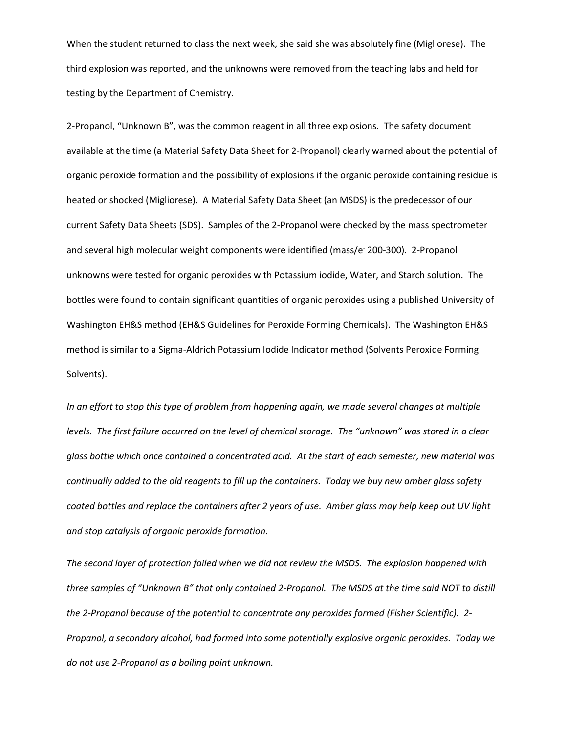When the student returned to class the next week, she said she was absolutely fine (Migliorese). The third explosion was reported, and the unknowns were removed from the teaching labs and held for testing by the Department of Chemistry.

2-Propanol, "Unknown B", was the common reagent in all three explosions. The safety document available at the time (a Material Safety Data Sheet for 2-Propanol) clearly warned about the potential of organic peroxide formation and the possibility of explosions if the organic peroxide containing residue is heated or shocked (Migliorese). A Material Safety Data Sheet (an MSDS) is the predecessor of our current Safety Data Sheets (SDS).Samples of the 2-Propanol were checked by the mass spectrometer and several high molecular weight components were identified (mass/e**-** 200-300). 2-Propanol unknowns were tested for organic peroxides with Potassium iodide, Water, and Starch solution. The bottles were found to contain significant quantities of organic peroxides using a published University of Washington EH&S method (EH&S Guidelines for Peroxide Forming Chemicals). The Washington EH&S method is similar to a Sigma-Aldrich Potassium Iodide Indicator method (Solvents Peroxide Forming Solvents).

*In an effort to stop this type of problem from happening again, we made several changes at multiple levels. The first failure occurred on the level of chemical storage. The "unknown" was stored in a clear glass bottle which once contained a concentrated acid. At the start of each semester, new material was continually added to the old reagents to fill up the containers. Today we buy new amber glass safety coated bottles and replace the containers after 2 years of use. Amber glass may help keep out UV light and stop catalysis of organic peroxide formation.* 

*The second layer of protection failed when we did not review the MSDS. The explosion happened with three samples of "Unknown B" that only contained 2-Propanol. The MSDS at the time said NOT to distill the 2-Propanol because of the potential to concentrate any peroxides formed (Fisher Scientific). 2- Propanol, a secondary alcohol, had formed into some potentially explosive organic peroxides. Today we do not use 2-Propanol as a boiling point unknown.*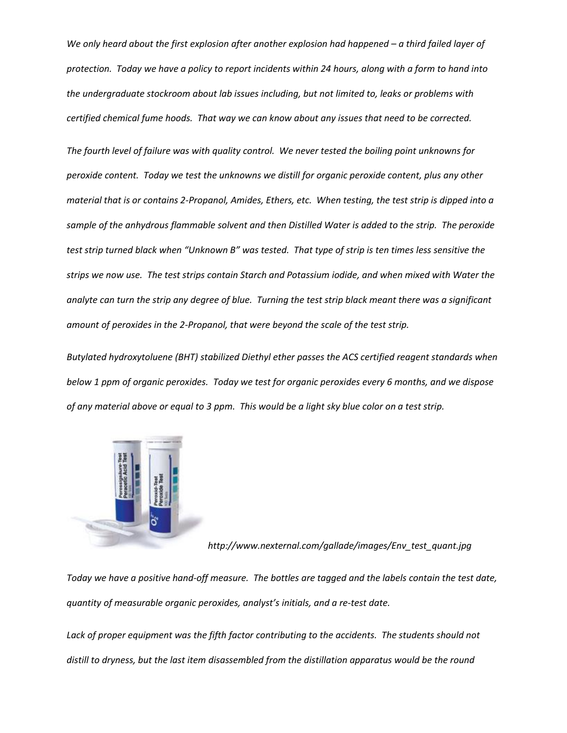*We only heard about the first explosion after another explosion had happened – a third failed layer of protection. Today we have a policy to report incidents within 24 hours, along with a form to hand into the undergraduate stockroom about lab issues including, but not limited to, leaks or problems with certified chemical fume hoods. That way we can know about any issues that need to be corrected.* 

*The fourth level of failure was with quality control. We never tested the boiling point unknowns for peroxide content. Today we test the unknowns we distill for organic peroxide content, plus any other material that is or contains 2-Propanol, Amides, Ethers, etc. When testing, the test strip is dipped into a sample of the anhydrous flammable solvent and then Distilled Water is added to the strip. The peroxide test strip turned black when "Unknown B" was tested. That type of strip is ten times less sensitive the strips we now use. The test strips contain Starch and Potassium iodide, and when mixed with Water the analyte can turn the strip any degree of blue. Turning the test strip black meant there was a significant amount of peroxides in the 2-Propanol, that were beyond the scale of the test strip.*

*Butylated hydroxytoluene (BHT) stabilized Diethyl ether passes the ACS certified reagent standards when below 1 ppm of organic peroxides. Today we test for organic peroxides every 6 months, and we dispose of any material above or equal to 3 ppm. This would be a light sky blue color on a test strip.* 



*http://www.nexternal.com/gallade/images/Env\_test\_quant.jpg*

*Today we have a positive hand-off measure. The bottles are tagged and the labels contain the test date, quantity of measurable organic peroxides, analyst's initials, and a re-test date.* 

*Lack of proper equipment was the fifth factor contributing to the accidents. The students should not distill to dryness, but the last item disassembled from the distillation apparatus would be the round*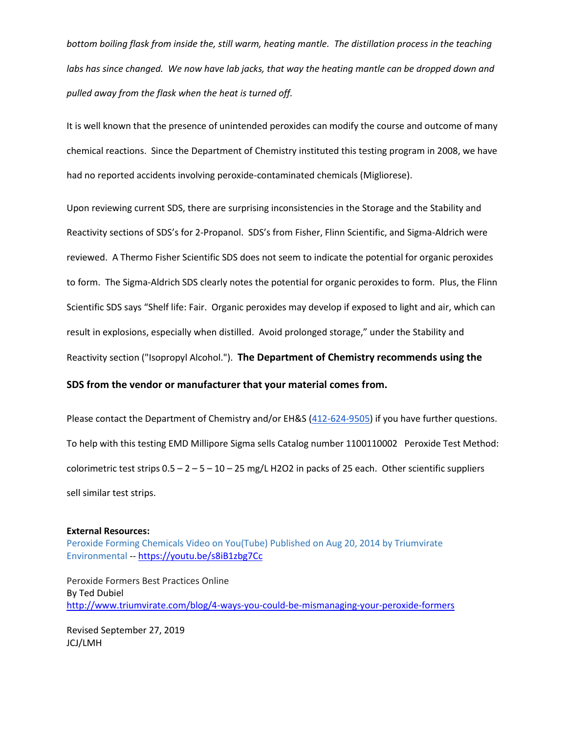*bottom boiling flask from inside the, still warm, heating mantle. The distillation process in the teaching labs has since changed. We now have lab jacks, that way the heating mantle can be dropped down and pulled away from the flask when the heat is turned off.* 

It is well known that the presence of unintended peroxides can modify the course and outcome of many chemical reactions. Since the Department of Chemistry instituted this testing program in 2008, we have had no reported accidents involving peroxide-contaminated chemicals (Migliorese).

Upon reviewing current SDS, there are surprising inconsistencies in the Storage and the Stability and Reactivity sections of SDS's for 2-Propanol. SDS's from Fisher, Flinn Scientific, and Sigma-Aldrich were reviewed. A Thermo Fisher Scientific SDS does not seem to indicate the potential for organic peroxides to form. The Sigma-Aldrich SDS clearly notes the potential for organic peroxides to form. Plus, the Flinn Scientific SDS says "Shelf life: Fair. Organic peroxides may develop if exposed to light and air, which can result in explosions, especially when distilled. Avoid prolonged storage," under the Stability and Reactivity section ("Isopropyl Alcohol."). **The Department of Chemistry recommends using the** 

#### **SDS from the vendor or manufacturer that your material comes from.**

Please contact the Department of Chemistry and/or EH&S [\(412-624-9505\)](tel:412-624-9505) if you have further questions. To help with this testing EMD Millipore Sigma sells Catalog number 1100110002 Peroxide Test Method: colorimetric test strips  $0.5 - 2 - 5 - 10 - 25$  mg/L H2O2 in packs of 25 each. Other scientific suppliers sell similar test strips.

#### **External Resources:**

[Peroxide Forming Chemicals Video on You\(Tube\) Published on Aug 20, 2014 by Triumvirate](https://youtu.be/s8iB1zbg7Cc)  [Environmental](https://youtu.be/s8iB1zbg7Cc) -- <https://youtu.be/s8iB1zbg7Cc>

Peroxide Formers Best Practices Online By Ted Dubiel <http://www.triumvirate.com/blog/4-ways-you-could-be-mismanaging-your-peroxide-formers>

Revised September 27, 2019 JCJ/LMH